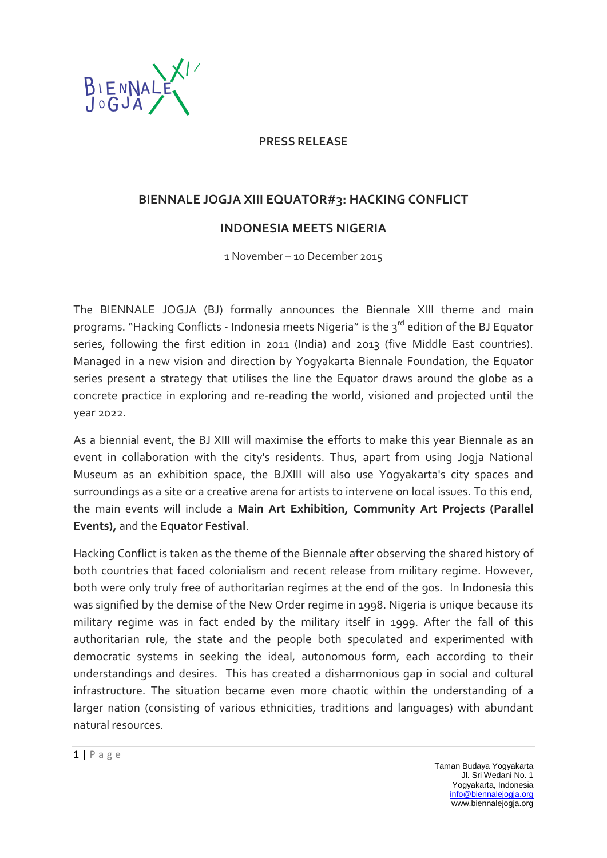

## **PRESS RELEASE**

## **BIENNALE JOGJA XIII EQUATOR#3: HACKING CONFLICT**

## **INDONESIA MEETS NIGERIA**

1 November – 10 December 2015

The BIENNALE JOGJA (BJ) formally announces the Biennale XIII theme and main programs. "Hacking Conflicts - Indonesia meets Nigeria" is the 3<sup>rd</sup> edition of the BJ Equator series, following the first edition in 2011 (India) and 2013 (five Middle East countries). Managed in a new vision and direction by Yogyakarta Biennale Foundation, the Equator series present a strategy that utilises the line the Equator draws around the globe as a concrete practice in exploring and re-reading the world, visioned and projected until the year 2022.

As a biennial event, the BJ XIII will maximise the efforts to make this year Biennale as an event in collaboration with the city's residents. Thus, apart from using Jogja National Museum as an exhibition space, the BJXIII will also use Yogyakarta's city spaces and surroundings as a site or a creative arena for artists to intervene on local issues. To this end, the main events will include a **Main Art Exhibition, Community Art Projects (Parallel Events),** and the **Equator Festival**.

Hacking Conflict is taken as the theme of the Biennale after observing the shared history of both countries that faced colonialism and recent release from military regime. However, both were only truly free of authoritarian regimes at the end of the 90s. In Indonesia this was signified by the demise of the New Order regime in 1998. Nigeria is unique because its military regime was in fact ended by the military itself in 1999. After the fall of this authoritarian rule, the state and the people both speculated and experimented with democratic systems in seeking the ideal, autonomous form, each according to their understandings and desires. This has created a disharmonious gap in social and cultural infrastructure. The situation became even more chaotic within the understanding of a larger nation (consisting of various ethnicities, traditions and languages) with abundant natural resources.